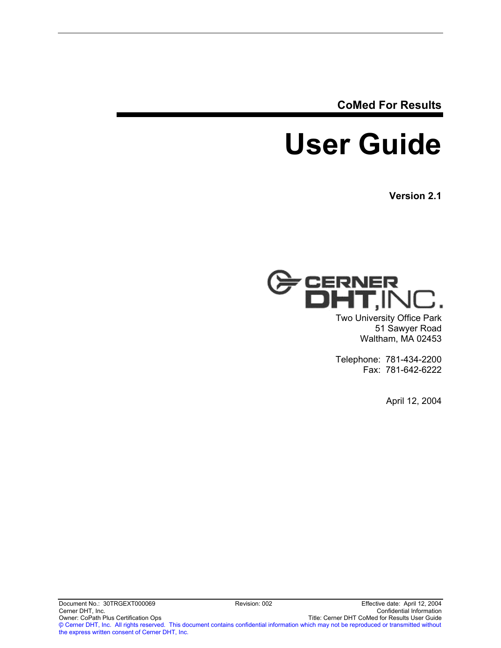**CoMed For Results** 

# **User Guide**

**Version 2.1** 



51 Sawyer Road Waltham, MA 02453

Telephone: 781-434-2200 Fax: 781-642-6222

April 12, 2004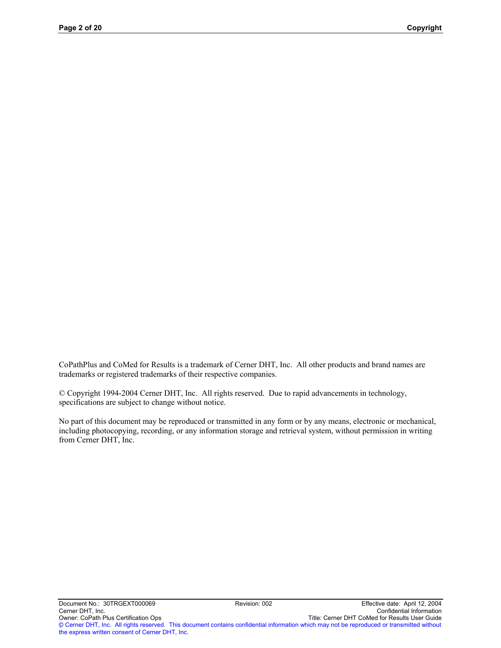CoPathPlus and CoMed for Results is a trademark of Cerner DHT, Inc. All other products and brand names are trademarks or registered trademarks of their respective companies.

© Copyright 1994-2004 Cerner DHT, Inc. All rights reserved. Due to rapid advancements in technology, specifications are subject to change without notice.

No part of this document may be reproduced or transmitted in any form or by any means, electronic or mechanical, including photocopying, recording, or any information storage and retrieval system, without permission in writing from Cerner DHT, Inc.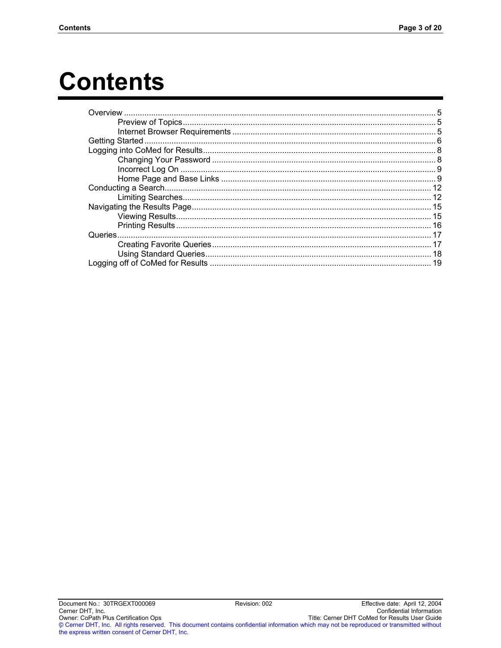## **Contents**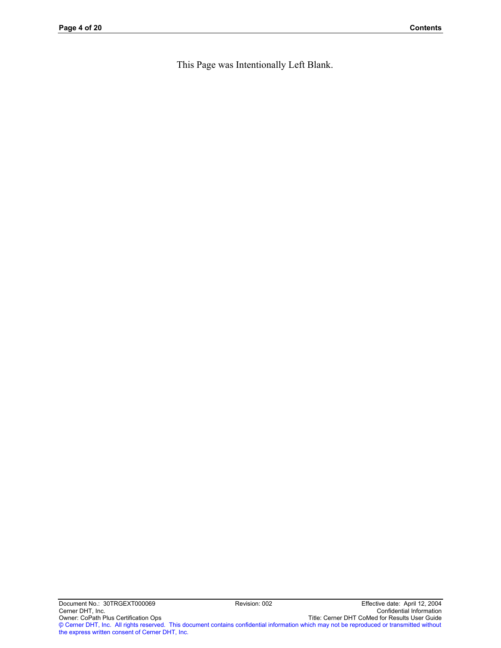This Page was Intentionally Left Blank.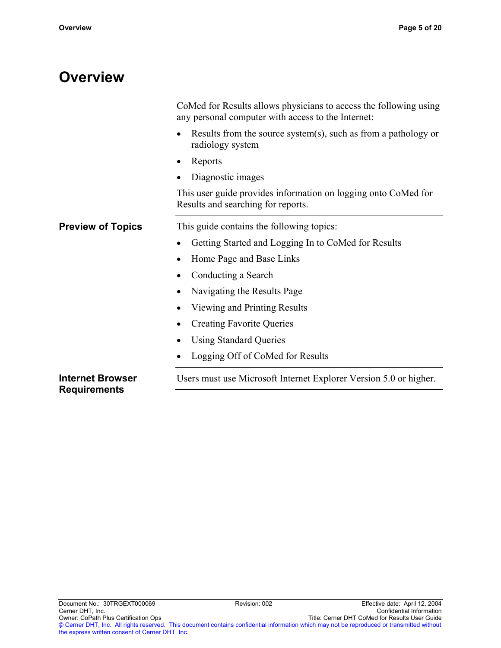## <span id="page-4-0"></span>**Overview**

CoMed for Results allows physicians to access the following using any personal computer with access to the Internet:

- Results from the source system(s), such as from a pathology or radiology system
- Reports
- Diagnostic images

This user guide provides information on logging onto CoMed for Results and searching for reports.

**Preview of Topics** This guide contains the following topics:

- Getting Started and Logging In to CoMed for Results
- Home Page and Base Links
- Conducting a Search
- Navigating the Results Page
- Viewing and Printing Results
- Creating Favorite Queries
- Using Standard Queries
- Logging Off of CoMed for Results

## **Requirements**

**Internet Browser** Users must use Microsoft Internet Explorer Version 5.0 or higher.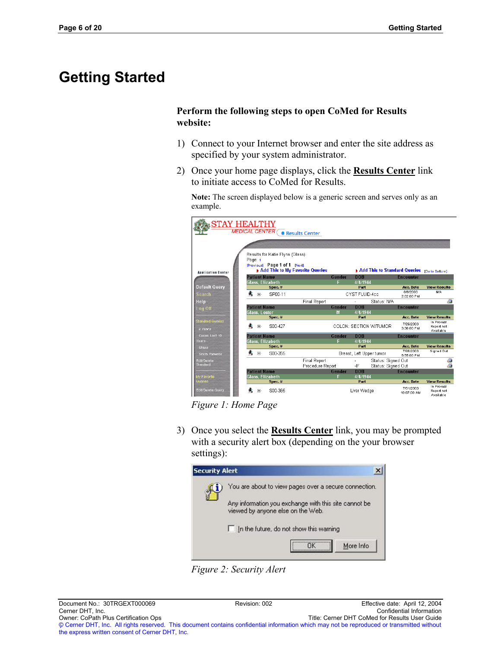## <span id="page-5-0"></span>**Getting Started**

#### **Perform the following steps to open CoMed for Results website:**

- 1) Connect to your Internet browser and enter the site address as specified by your system administrator.
- 2) Once your home page displays, click the **Results Center** link to initiate access to CoMed for Results.

**Note:** The screen displayed below is a generic screen and serves only as an example.



*Figure 1: Home Page* 

3) Once you select the **Results Center** link, you may be prompted with a security alert box (depending on the your browser settings):



*Figure 2: Security Alert*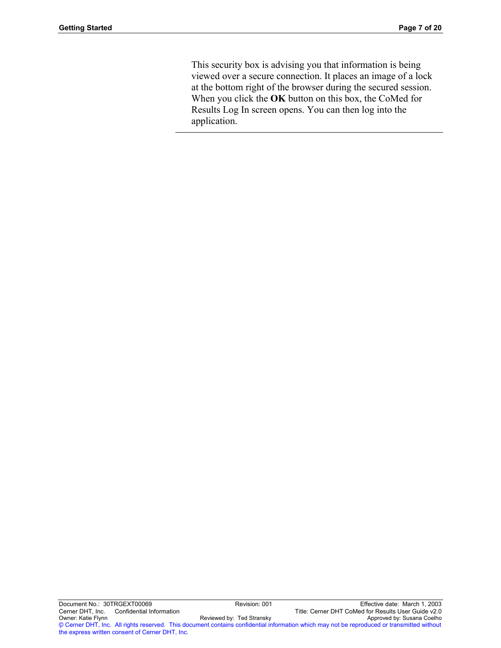This security box is advising you that information is being viewed over a secure connection. It places an image of a lock at the bottom right of the browser during the secured session. When you click the **OK** button on this box, the CoMed for Results Log In screen opens. You can then log into the application.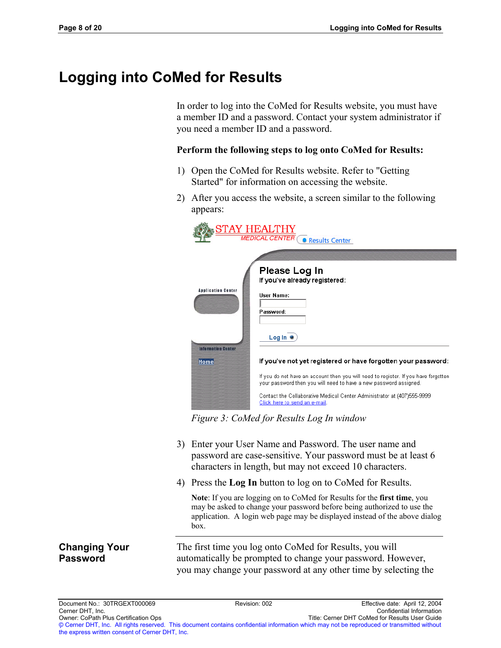## <span id="page-7-0"></span>**Logging into CoMed for Results**

In order to log into the CoMed for Results website, you must have a member ID and a password. Contact your system administrator if you need a member ID and a password.

#### **Perform the following steps to log onto CoMed for Results:**

- 1) Open the CoMed for Results website. Refer to "Getting Started" for information on accessing the website.
- 2) After you access the website, a screen similar to the following appears:

|                           | <b>MEDICAL CENTER</b><br><b>• Results Center</b>                                                                                                         |
|---------------------------|----------------------------------------------------------------------------------------------------------------------------------------------------------|
|                           |                                                                                                                                                          |
|                           | Please Log In<br>If you've already registered:                                                                                                           |
| <b>Application Center</b> | User Name:<br>Password:                                                                                                                                  |
| Information Center        | Log In                                                                                                                                                   |
| <b>Home</b>               | If you've not yet registered or have forgotten your password:                                                                                            |
|                           | If you do not have an account then you will need to register. If you have forgotten<br>your password then you will need to have a new password assigned. |
|                           | Contact the Collaborative Medical Center Administrator at (407)555-9999<br>Click here to send an e-mail.                                                 |

*Figure 3: CoMed for Results Log In window* 

- 3) Enter your User Name and Password. The user name and password are case-sensitive. Your password must be at least 6 characters in length, but may not exceed 10 characters.
- 4) Press the **Log In** button to log on to CoMed for Results.

**Note**: If you are logging on to CoMed for Results for the **first time**, you may be asked to change your password before being authorized to use the application. A login web page may be displayed instead of the above dialog box.

The first time you log onto CoMed for Results, you will automatically be prompted to change your password. However, you may change your password at any other time by selecting the

#### **Changing Your Password**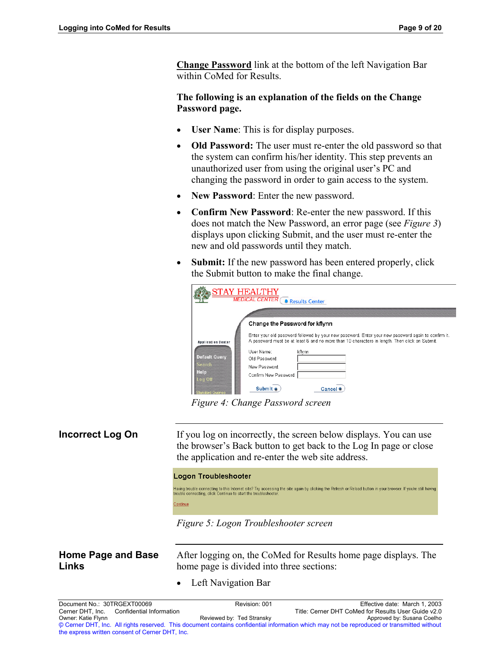<span id="page-8-0"></span>**Change Password** link at the bottom of the left Navigation Bar within CoMed for Results.

#### **The following is an explanation of the fields on the Change Password page.**

- **User Name**: This is for display purposes.
- **Old Password:** The user must re-enter the old password so that the system can confirm his/her identity. This step prevents an unauthorized user from using the original user's PC and changing the password in order to gain access to the system.
- **New Password**: Enter the new password.
- **Confirm New Password**: Re-enter the new password. If this does not match the New Password, an error page (see *Figure 3*) displays upon clicking Submit, and the user must re-enter the new and old passwords until they match.
- **Submit:** If the new password has been entered properly, click the Submit button to make the final change.

| <b>STAY HEALTH</b>          | MEDICAL CENTER ( Results Center |        |                                                                                                                                                                                                      |
|-----------------------------|---------------------------------|--------|------------------------------------------------------------------------------------------------------------------------------------------------------------------------------------------------------|
|                             | Change the Password for kflynn  |        |                                                                                                                                                                                                      |
| <b>Application Center</b>   |                                 |        | Enter your old password followed by your new password. Enter your new password again to confirm it.<br>A password must be at least 6 and no more than 10 characters in length. Then click on Submit. |
|                             | User Name:                      | kflynn |                                                                                                                                                                                                      |
| <b>Default Query</b>        | Old Password:                   |        |                                                                                                                                                                                                      |
| <b>Search</b>               | New Password:                   |        |                                                                                                                                                                                                      |
| <b>Help</b>                 | Confirm New Password:           |        |                                                                                                                                                                                                      |
| Log Off<br>Standard Queries | <b>Submit</b>                   | Cancel |                                                                                                                                                                                                      |

*Figure 4: Change Password screen* 

### **Incorrect Log On**

If you log on incorrectly, the screen below displays. You can use the browser's Back button to get back to the Log In page or close the application and re-enter the web site address.

#### **Logon Troubleshooter**

Having trouble connecting to this Internet site? Try accessing the site again by clicking the Refresh or Reload button in your browser. If you're still having<br>trouble connecting, click Continue to start the troubleshooter.

Continue

*Figure 5: Logon Troubleshooter screen* 

#### **Home Page and Base Links**

After logging on, the CoMed for Results home page displays. The home page is divided into three sections:

• Left Navigation Bar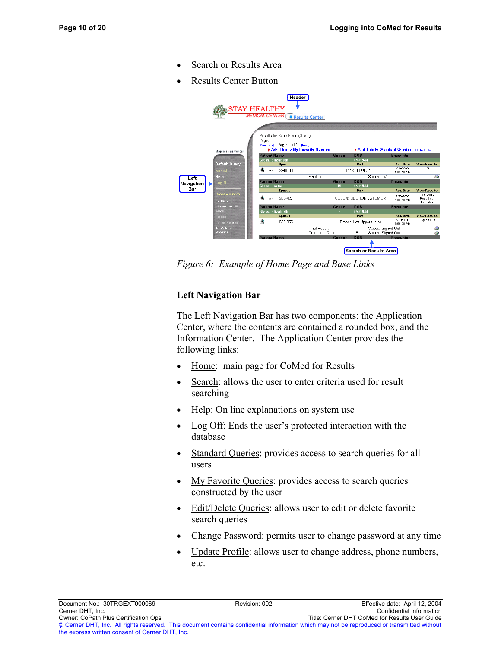- Search or Results Area
- Results Center Button

|               | <b>STAY HEALTHY</b>                |         |                                            | Header<br><b>MEDICAL CENTER</b>                                  | <b>• Results Center</b> -       |             |                          |                        |                                             |                                       |
|---------------|------------------------------------|---------|--------------------------------------------|------------------------------------------------------------------|---------------------------------|-------------|--------------------------|------------------------|---------------------------------------------|---------------------------------------|
|               | <b>Application Conter</b>          | Page: 1 |                                            | Results for Katie Flynn (Glass)<br>[Previous] Page 1 of 1 [Next] | Add This to My Favorite Queries |             |                          |                        | Add This to Standard Queries [Go to Bottom] |                                       |
|               |                                    |         | <b>Patient Name</b>                        |                                                                  |                                 | Gender      | <b>DOB</b>               |                        | <b>Encounter</b>                            |                                       |
|               | <b>Default Query</b>               |         |                                            | Glass, Elizabeth<br>Spec. #                                      |                                 | E           | 4/4/1944<br>Part         |                        | Acc. Date                                   | <b>View Results</b>                   |
|               |                                    |         |                                            |                                                                  |                                 |             |                          |                        | 8/6/2003                                    | N/A                                   |
| <b>Search</b> |                                    |         | $\mathbb{H}^n$                             | SP00-11                                                          |                                 |             | CYST FLUID-4cc           |                        | 2:02:00 PM                                  |                                       |
| L eft         | Help                               |         |                                            |                                                                  | <b>Final Report</b>             |             |                          | Status: N/A            |                                             | Æ                                     |
| Navigation H  | Log Off                            |         | <b>Patient Name</b><br>Glass, Lester       |                                                                  |                                 | Gender<br>м | DOR<br>4/4/1944          |                        | <b>Encounter</b>                            |                                       |
| Bar           |                                    |         |                                            | Spec. #                                                          |                                 |             | Part                     |                        | <b>Acc. Date</b>                            | <b>View Results</b>                   |
|               | <b>Standard Queries</b><br>2 Years |         | $\mathbb{F}$                               | S00-427                                                          |                                 |             |                          | COLON: SECTION W/TUMOR | 7/29/2003<br>3:36:00 PM                     | In Process<br>Report not<br>Available |
|               | Cases Last 10                      |         | <b>Patient Name</b>                        |                                                                  |                                 | Gender      | DOR                      |                        | <b>Encounter</b>                            |                                       |
|               | Years                              |         |                                            | <b>Glass, Elizabeth</b>                                          |                                 | ч           | 4/4/1944<br>Part         |                        | Acc. Date                                   | <b>View Results</b>                   |
|               | Glass                              |         |                                            | Spec.#                                                           |                                 |             |                          |                        | 7/28/2003                                   | Signed Out                            |
|               | Smith Patients                     |         | $\begin{bmatrix} \mathbf{H} \end{bmatrix}$ | S00-355                                                          |                                 |             | Breast, Left Upper tumor |                        | 6:55:00 PM                                  |                                       |
|               | Edit/Delete<br>Standard            |         |                                            |                                                                  | <b>Final Report</b>             |             | $\overline{\phantom{a}}$ | Status: Signed Out     |                                             | 4                                     |
|               |                                    |         |                                            |                                                                  | Procedure Report                |             | -IF<br><b>DOB</b>        | Status: Signed Out     |                                             | ã                                     |
|               |                                    |         | <b>Patient Name</b>                        |                                                                  |                                 | Gender      |                          |                        | <b>Encounter</b>                            |                                       |
|               |                                    |         |                                            |                                                                  |                                 |             |                          | Search or Results Area |                                             |                                       |

*Figure 6: Example of Home Page and Base Links* 

#### **Left Navigation Bar**

The Left Navigation Bar has two components: the Application Center, where the contents are contained a rounded box, and the Information Center. The Application Center provides the following links:

- Home: main page for CoMed for Results
- Search: allows the user to enter criteria used for result searching
- Help: On line explanations on system use
- Log Off: Ends the user's protected interaction with the database
- Standard Queries: provides access to search queries for all users
- My Favorite Queries: provides access to search queries constructed by the user
- Edit/Delete Queries: allows user to edit or delete favorite search queries
- Change Password: permits user to change password at any time
- Update Profile: allows user to change address, phone numbers, etc.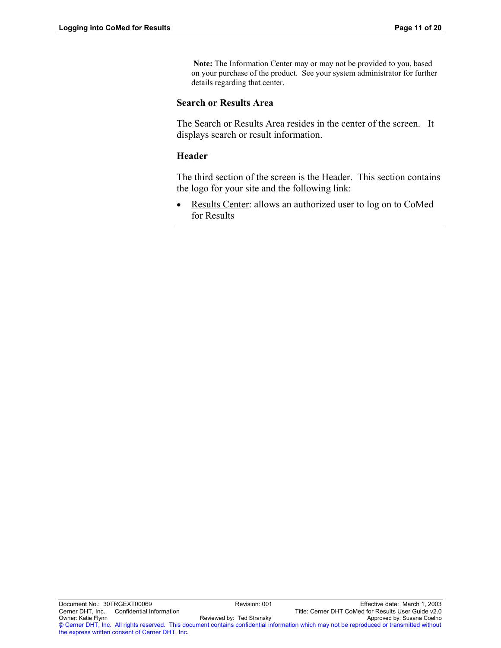**Note:** The Information Center may or may not be provided to you, based on your purchase of the product. See your system administrator for further details regarding that center.

#### **Search or Results Area**

The Search or Results Area resides in the center of the screen. It displays search or result information.

#### **Header**

The third section of the screen is the Header. This section contains the logo for your site and the following link:

• Results Center: allows an authorized user to log on to CoMed for Results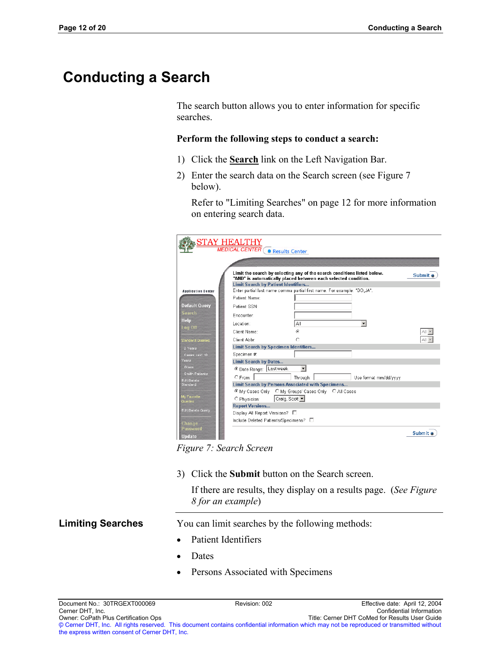## <span id="page-11-0"></span> **Conducting a Search**

The search button allows you to enter information for specific searches.

#### **Perform the following steps to conduct a search:**

- 1) Click the **Search** link on the Left Navigation Bar.
- 2) Enter the search data on the Search screen (see Figure 7 below).

Refer to "[Limiting Searches"](#page-11-1) on page [12](#page-11-1) for more information on entering search data.

|                           | STAY HEALTHY<br><b>MEDICAL CENTER</b><br><b>• Results Center</b>                                                                                                                         |          |
|---------------------------|------------------------------------------------------------------------------------------------------------------------------------------------------------------------------------------|----------|
|                           | Limit the search by selecting any of the search conditions listed below.<br>"AND" is automatically placed between each selected condition.<br><b>Limit Search by Patient Identifiers</b> | Submit ( |
| <b>Application Center</b> | Enter partial last name comma partial first name. For example: "DO,JA".                                                                                                                  |          |
|                           | Patient Name:                                                                                                                                                                            |          |
| <b>Default Query</b>      | Patient SSN:                                                                                                                                                                             |          |
| <b>Search</b>             | Encounter:                                                                                                                                                                               |          |
| Help                      | $\overline{\phantom{a}}$<br>İΑΙΙ<br>Location:                                                                                                                                            |          |
| Log Off                   | Client Name:<br>G                                                                                                                                                                        |          |
| <b>Standard Queries</b>   | Client Ahhr                                                                                                                                                                              |          |
| 2 Years                   | Limit Search by Specimen Identifiers                                                                                                                                                     |          |
| Cases Last 10             | Specimen #                                                                                                                                                                               |          |
| Years                     | <b>Limit Search by Dates</b>                                                                                                                                                             |          |
| <b>Glass</b>              | $\overline{\phantom{a}}$<br>C Date Range: Lastweek                                                                                                                                       |          |
| Smith Patients            | O From: 1<br>Through:<br>Use format mm/dd/yyyy                                                                                                                                           |          |
| Edit/Delete<br>Standard   | Limit Search by Persons Associated with Specimens                                                                                                                                        |          |
|                           | C My Cases Only C My Groups' Cases Only C All Cases                                                                                                                                      |          |
| My Favorite<br>Queries    | Craig, Scott -<br>O Physician:                                                                                                                                                           |          |
|                           | <b>Report Versions</b>                                                                                                                                                                   |          |
| Edit/Delete Query         | Display All Report Versions? $\square$                                                                                                                                                   |          |
| <b>Change</b>             | Include Deleted Patients/Specimens? $\square$                                                                                                                                            |          |
| Password                  |                                                                                                                                                                                          |          |
| <b>Update</b>             |                                                                                                                                                                                          | Submit   |

*Figure 7: Search Screen* 

3) Click the **Submit** button on the Search screen.

If there are results, they display on a results page. (*See Figure 8 for an example*)

<span id="page-11-1"></span>**Limiting Searches** You can limit searches by the following methods:

- Patient Identifiers
- Dates
- Persons Associated with Specimens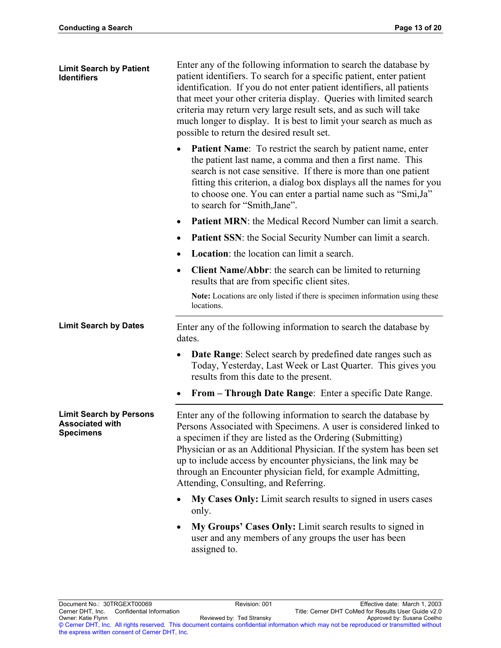| <b>Limit Search by Patient</b><br><b>Identifiers</b>                         | Enter any of the following information to search the database by<br>patient identifiers. To search for a specific patient, enter patient<br>identification. If you do not enter patient identifiers, all patients<br>that meet your other criteria display. Queries with limited search<br>criteria may return very large result sets, and as such will take<br>much longer to display. It is best to limit your search as much as<br>possible to return the desired result set. |  |  |  |  |  |
|------------------------------------------------------------------------------|----------------------------------------------------------------------------------------------------------------------------------------------------------------------------------------------------------------------------------------------------------------------------------------------------------------------------------------------------------------------------------------------------------------------------------------------------------------------------------|--|--|--|--|--|
|                                                                              | <b>Patient Name:</b> To restrict the search by patient name, enter<br>the patient last name, a comma and then a first name. This<br>search is not case sensitive. If there is more than one patient<br>fitting this criterion, a dialog box displays all the names for you<br>to choose one. You can enter a partial name such as "Smi, Ja"<br>to search for "Smith, Jane".                                                                                                      |  |  |  |  |  |
|                                                                              | <b>Patient MRN</b> : the Medical Record Number can limit a search.                                                                                                                                                                                                                                                                                                                                                                                                               |  |  |  |  |  |
|                                                                              | <b>Patient SSN:</b> the Social Security Number can limit a search.<br>$\bullet$                                                                                                                                                                                                                                                                                                                                                                                                  |  |  |  |  |  |
|                                                                              | <b>Location:</b> the location can limit a search.                                                                                                                                                                                                                                                                                                                                                                                                                                |  |  |  |  |  |
|                                                                              | <b>Client Name/Abbr:</b> the search can be limited to returning<br>results that are from specific client sites.                                                                                                                                                                                                                                                                                                                                                                  |  |  |  |  |  |
|                                                                              | Note: Locations are only listed if there is specimen information using these<br>locations.                                                                                                                                                                                                                                                                                                                                                                                       |  |  |  |  |  |
| <b>Limit Search by Dates</b>                                                 | Enter any of the following information to search the database by<br>dates.                                                                                                                                                                                                                                                                                                                                                                                                       |  |  |  |  |  |
|                                                                              | Date Range: Select search by predefined date ranges such as<br>$\bullet$<br>Today, Yesterday, Last Week or Last Quarter. This gives you<br>results from this date to the present.                                                                                                                                                                                                                                                                                                |  |  |  |  |  |
|                                                                              | From – Through Date Range: Enter a specific Date Range.                                                                                                                                                                                                                                                                                                                                                                                                                          |  |  |  |  |  |
| <b>Limit Search by Persons</b><br><b>Associated with</b><br><b>Specimens</b> | Enter any of the following information to search the database by<br>Persons Associated with Specimens. A user is considered linked to<br>a specimen if they are listed as the Ordering (Submitting)<br>Physician or as an Additional Physician. If the system has been set<br>up to include access by encounter physicians, the link may be<br>through an Encounter physician field, for example Admitting,<br>Attending, Consulting, and Referring.                             |  |  |  |  |  |
|                                                                              | My Cases Only: Limit search results to signed in users cases<br>only.                                                                                                                                                                                                                                                                                                                                                                                                            |  |  |  |  |  |
|                                                                              | My Groups' Cases Only: Limit search results to signed in<br>user and any members of any groups the user has been<br>assigned to.                                                                                                                                                                                                                                                                                                                                                 |  |  |  |  |  |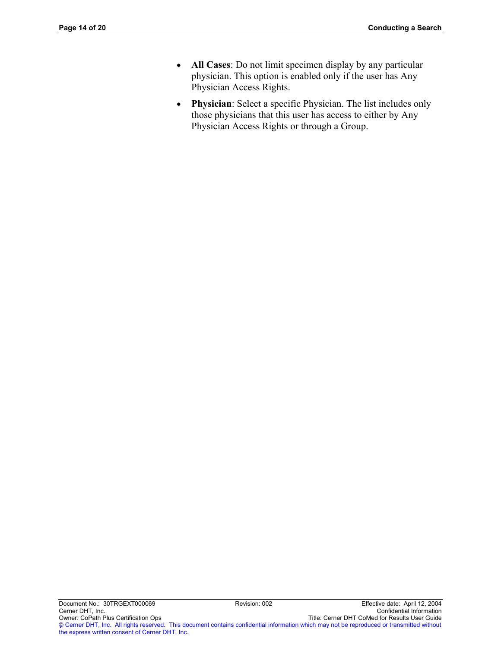- **All Cases**: Do not limit specimen display by any particular physician. This option is enabled only if the user has Any Physician Access Rights.
- **Physician**: Select a specific Physician. The list includes only those physicians that this user has access to either by Any Physician Access Rights or through a Group.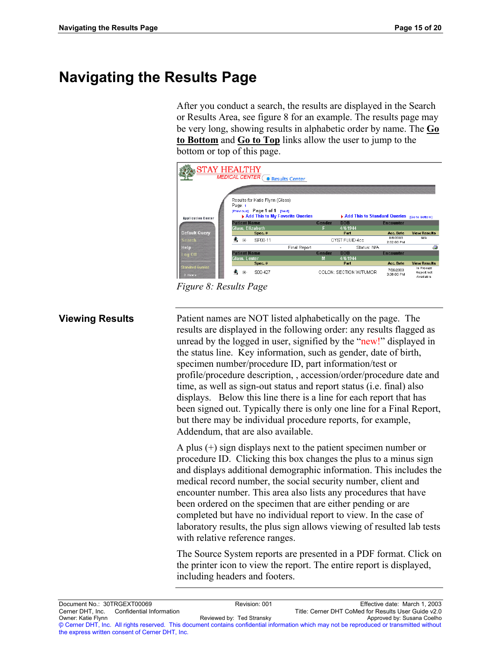## <span id="page-14-0"></span>**Navigating the Results Page**

After you conduct a search, the results are displayed in the Search or Results Area, see figure 8 for an example. The results page may be very long, showing results in alphabetic order by name. The **Go to Bottom** and **Go to Top** links allow the user to jump to the bottom or top of this page.



*Figure 8: Results Page* 

#### **Viewing Results**

Patient names are NOT listed alphabetically on the page. The results are displayed in the following order: any results flagged as unread by the logged in user, signified by the "new!" displayed in the status line. Key information, such as gender, date of birth, specimen number/procedure ID, part information/test or profile/procedure description, , accession/order/procedure date and time, as well as sign-out status and report status (i.e. final) also displays. Below this line there is a line for each report that has been signed out. Typically there is only one line for a Final Report, but there may be individual procedure reports, for example, Addendum, that are also available.

A plus (+) sign displays next to the patient specimen number or procedure ID. Clicking this box changes the plus to a minus sign and displays additional demographic information. This includes the medical record number, the social security number, client and encounter number. This area also lists any procedures that have been ordered on the specimen that are either pending or are completed but have no individual report to view. In the case of laboratory results, the plus sign allows viewing of resulted lab tests with relative reference ranges.

The Source System reports are presented in a PDF format. Click on the printer icon to view the report. The entire report is displayed, including headers and footers.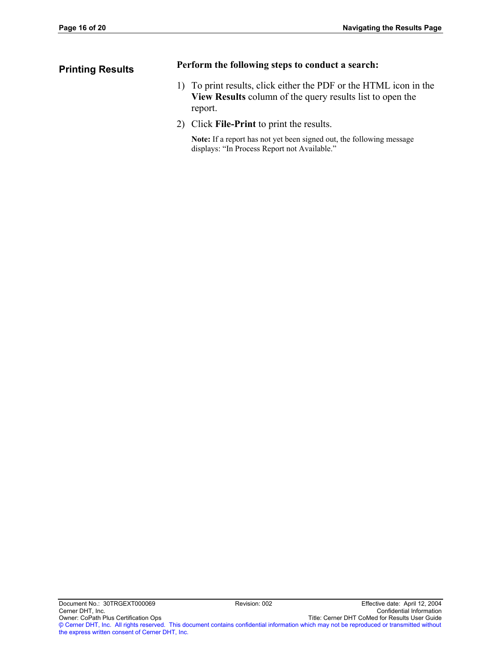### <span id="page-15-0"></span>**Perform the following steps to conduct a search: Printing Results**

- 1) To print results, click either the PDF or the HTML icon in the **View Results** column of the query results list to open the report.
- 2) Click **File-Print** to print the results.

**Note:** If a report has not yet been signed out, the following message displays: "In Process Report not Available."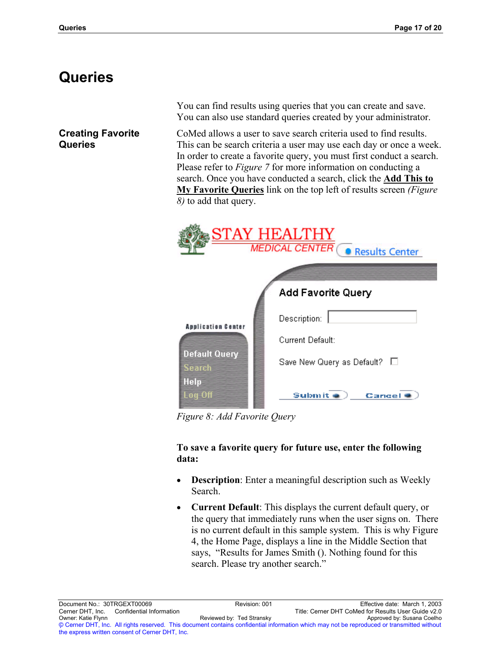## <span id="page-16-0"></span>**Queries**

**Creating Favorite Queries** 

You can find results using queries that you can create and save. You can also use standard queries created by your administrator.

CoMed allows a user to save search criteria used to find results. This can be search criteria a user may use each day or once a week. In order to create a favorite query, you must first conduct a search. Please refer to *Figure 7* for more information on conducting a search. Once you have conducted a search, click the **Add This to My Favorite Queries** link on the top left of results screen *(Figure 8)* to add that query.



*Figure 8: Add Favorite Query* 

#### **To save a favorite query for future use, enter the following data:**

- **Description**: Enter a meaningful description such as Weekly Search.
- **Current Default**: This displays the current default query, or the query that immediately runs when the user signs on. There is no current default in this sample system. This is why Figure 4, the Home Page, displays a line in the Middle Section that says, "Results for James Smith (). Nothing found for this search. Please try another search."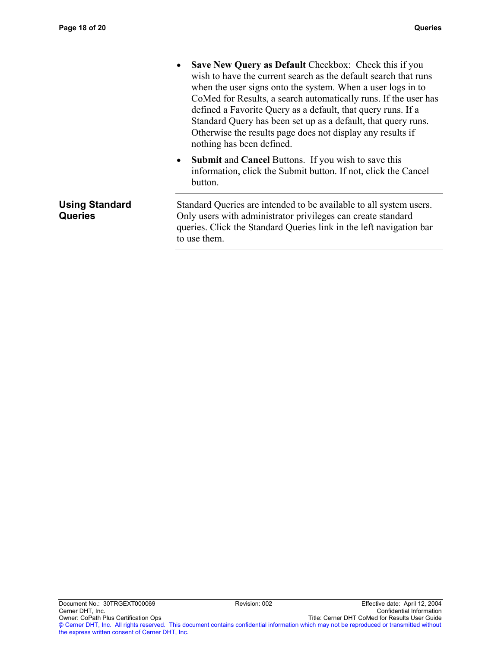<span id="page-17-0"></span>

|                                         | • Save New Query as Default Checkbox: Check this if you<br>wish to have the current search as the default search that runs<br>when the user signs onto the system. When a user logs in to<br>CoMed for Results, a search automatically runs. If the user has<br>defined a Favorite Query as a default, that query runs. If a<br>Standard Query has been set up as a default, that query runs.<br>Otherwise the results page does not display any results if<br>nothing has been defined. |
|-----------------------------------------|------------------------------------------------------------------------------------------------------------------------------------------------------------------------------------------------------------------------------------------------------------------------------------------------------------------------------------------------------------------------------------------------------------------------------------------------------------------------------------------|
|                                         | • Submit and Cancel Buttons. If you wish to save this<br>information, click the Submit button. If not, click the Cancel<br>button.                                                                                                                                                                                                                                                                                                                                                       |
| <b>Using Standard</b><br><b>Queries</b> | Standard Queries are intended to be available to all system users.<br>Only users with administrator privileges can create standard<br>queries. Click the Standard Queries link in the left navigation bar<br>to use them.                                                                                                                                                                                                                                                                |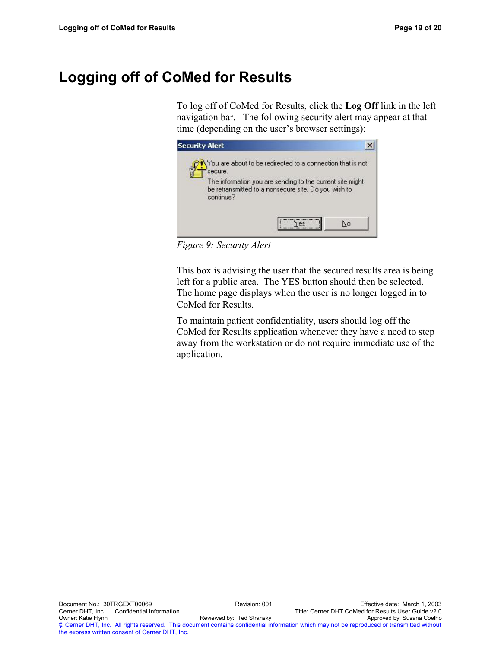## <span id="page-18-0"></span>**Logging off of CoMed for Results**

To log off of CoMed for Results, click the **Log Off** link in the left navigation bar. The following security alert may appear at that time (depending on the user's browser settings):



*Figure 9: Security Alert* 

This box is advising the user that the secured results area is being left for a public area. The YES button should then be selected. The home page displays when the user is no longer logged in to CoMed for Results.

To maintain patient confidentiality, users should log off the CoMed for Results application whenever they have a need to step away from the workstation or do not require immediate use of the application.